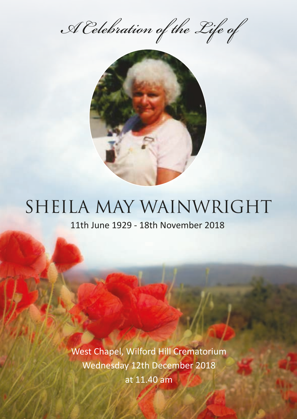*A Celebration of the Life of*



# SHEILA MAY WAINWRIGHT

11th June 1929 - 18th November 2018

West Chapel, Wilford Hill Crematorium Wednesday 12th December 2018 at 11.40 am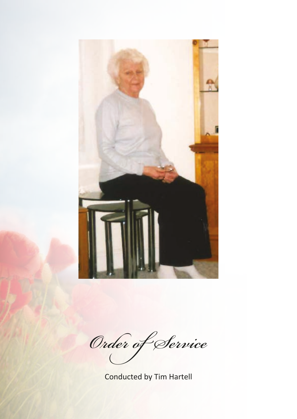

*Order of Service*

Conducted by Tim Hartell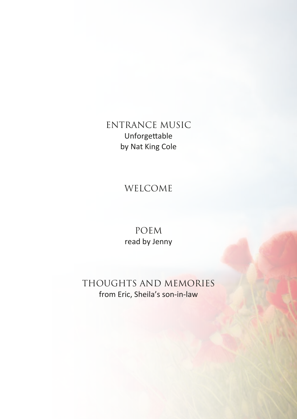ENTRANCE MUSIC Unforgettable by Nat King Cole

#### WELCOME

POEM read by Jenny

THOUGHTS AND MEMORIES from Eric, Sheila's son-in-law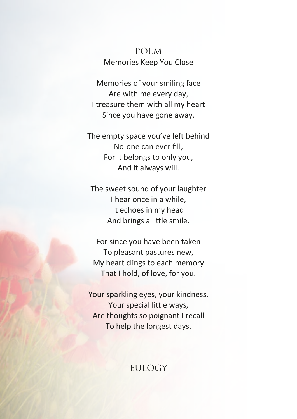#### POEM Memories Keep You Close

Memories of your smiling face Are with me every day, I treasure them with all my heart Since you have gone away.

The empty space you've left behind No-one can ever fill, For it belongs to only you, And it always will.

The sweet sound of your laughter I hear once in a while, It echoes in my head And brings a little smile.

For since you have been taken To pleasant pastures new, My heart clings to each memory That I hold, of love, for you.

Your sparkling eyes, your kindness, Your special little ways, Are thoughts so poignant I recall To help the longest days.

#### **EULOGY**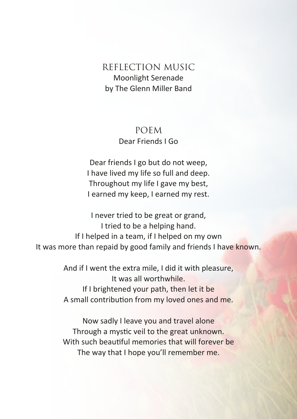#### REFLECTION MUSIC Moonlight Serenade by The Glenn Miller Band

#### POEM Dear Friends I Go

Dear friends I go but do not weep, I have lived my life so full and deep. Throughout my life I gave my best, I earned my keep, I earned my rest.

I never tried to be great or grand, I tried to be a helping hand. If I helped in a team, if I helped on my own It was more than repaid by good family and friends I have known.

> And if I went the extra mile, I did it with pleasure, It was all worthwhile. If I brightened your path, then let it be A small contribution from my loved ones and me.

> Now sadly I leave you and travel alone Through a mystic veil to the great unknown. With such beautiful memories that will forever be The way that I hope you'll remember me.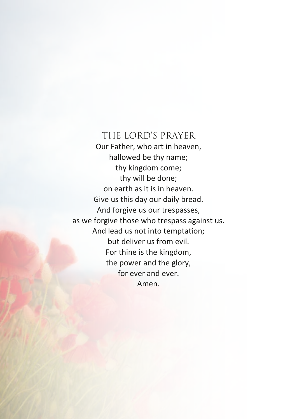#### THE LORD'S PRAYER Our Father, who art in heaven, hallowed be thy name; thy kingdom come; thy will be done; on earth as it is in heaven. Give us this day our daily bread. And forgive us our trespasses, as we forgive those who trespass against us. And lead us not into temptation; but deliver us from evil. For thine is the kingdom, the power and the glory, for ever and ever. Amen.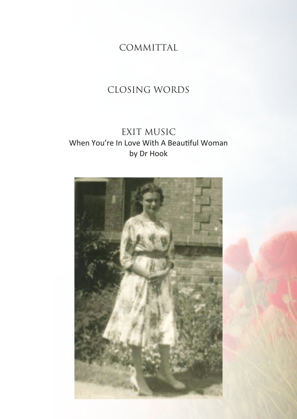COMMITTAL

## CLOSING WORDS

### EXIT MUSIC When You're In Love With A Beautiful Woman by Dr Hook